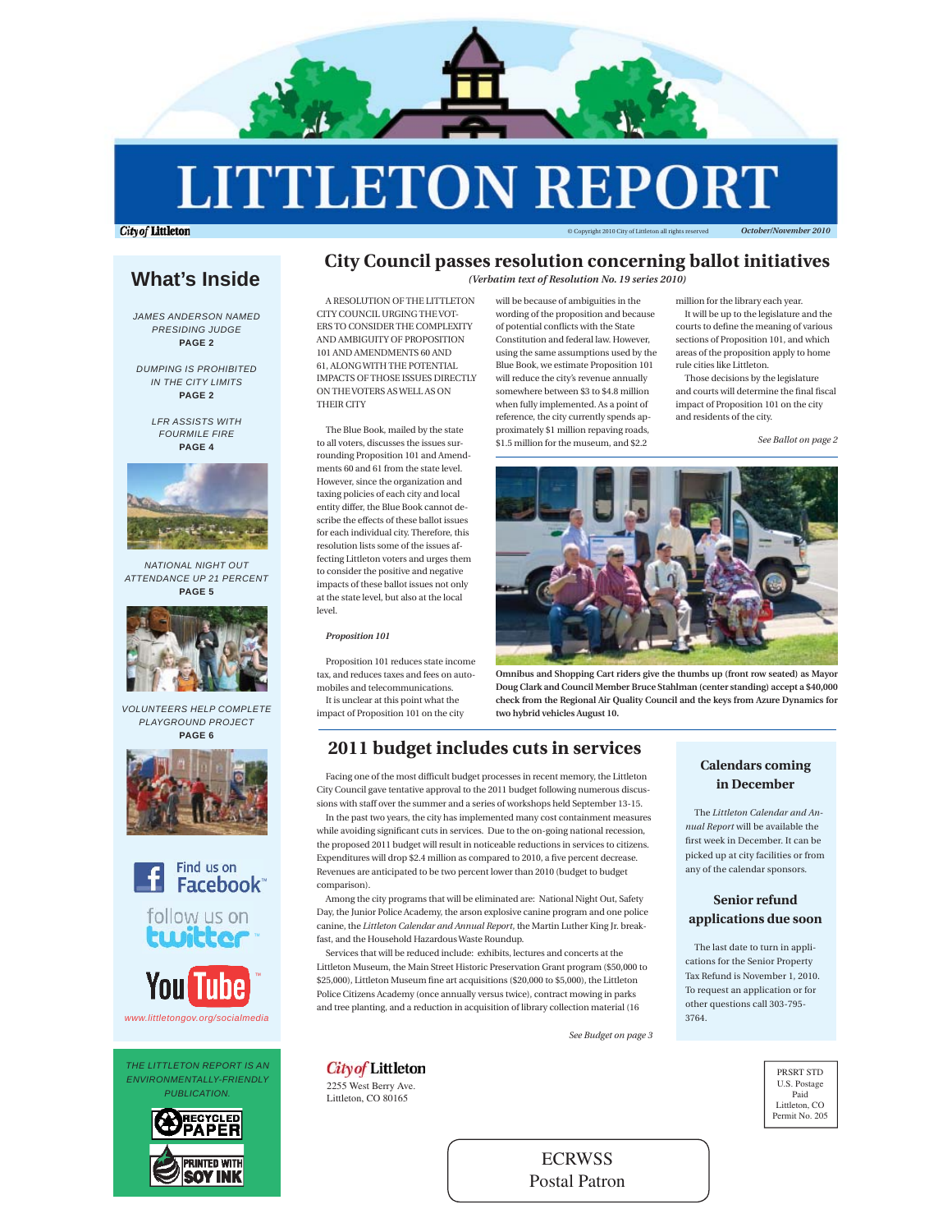

# **LITTLETON REPORT**

**City of Littleton** 

© Copyright 2010 City of Littleton all rights reserved *October/November 2010*

# **What's Inside**

*JAMES ANDERSON NAMED PRESIDING JUDGE*  **PAGE 2**

*DUMPING IS PROHIBITED IN THE CITY LIMITS* **PAGE 2**

> *LFR ASSISTS WITH FOURMILE FIRE* **PAGE 4**



*NATIONAL NIGHT OUT ATTENDANCE UP 21 PERCENT* **PAGE 5**



*VOLUNTEERS HELP COMPLETE PLAYGROUND PROJECT* **PAGE 6**





*THE LITTLETON REPORT IS AN ENVIRONMENTALLY-FRIENDLY PUBLICATION.*



### **City Council passes resolution concerning ballot initiatives** *(Verbatim text of Resolution No. 19 series 2010)*

A RESOLUTION OF THE LITTLETON CITY COUNCIL URGING THE VOT-ERS TO CONSIDER THE COMPLEXITY AND AMBIGUITY OF PROPOSITION 101 AND AMENDMENTS 60 AND 61, ALONG WITH THE POTENTIAL IMPACTS OF THOSE ISSUES DIRECTLY ON THE VOTERS AS WELL AS ON THEIR CITY

The Blue Book, mailed by the state to all voters, discusses the issues surrounding Proposition 101 and Amendments 60 and 61 from the state level. However, since the organization and taxing policies of each city and local entity differ, the Blue Book cannot describe the effects of these ballot issues for each individual city. Therefore, this resolution lists some of the issues affecting Littleton voters and urges them to consider the positive and negative impacts of these ballot issues not only at the state level, but also at the local level.

#### *Proposition 101*

Proposition 101 reduces state income tax, and reduces taxes and fees on automobiles and telecommunications. It is unclear at this point what the impact of Proposition 101 on the city

2255 West Berry Ave. Littleton, CO 80165

**City of Littleton** 

will be because of ambiguities in the wording of the proposition and because of potential conflicts with the State

Constitution and federal law. However, using the same assumptions used by the Blue Book, we estimate Proposition 101 will reduce the city's revenue annually somewhere between \$3 to \$4.8 million when fully implemented. As a point of reference, the city currently spends approximately \$1 million repaving roads, \$1.5 million for the museum, and \$2.2

million for the library each year.

It will be up to the legislature and the courts to define the meaning of various sections of Proposition 101, and which areas of the proposition apply to home rule cities like Littleton.

Those decisions by the legislature and courts will determine the final fiscal impact of Proposition 101 on the city and residents of the city.

*See Ballot on page 2*



**Omnibus and Shopping Cart riders give the thumbs up (front row seated) as Mayor Doug Clark and Council Member Bruce Stahlman (center standing) accept a \$40,000 check from the Regional Air Quality Council and the keys from Azure Dynamics for two hybrid vehicles August 10.**

# **2011 budget includes cuts in services**

Facing one of the most difficult budget processes in recent memory, the Littleton City Council gave tentative approval to the 2011 budget following numerous discussions with staff over the summer and a series of workshops held September 13-15. In the past two years, the city has implemented many cost containment measures

while avoiding significant cuts in services. Due to the on-going national recession, the proposed 2011 budget will result in noticeable reductions in services to citizens. Expenditures will drop \$2.4 million as compared to 2010, a five percent decrease. Revenues are anticipated to be two percent lower than 2010 (budget to budget comparison).

Among the city programs that will be eliminated are: National Night Out, Safety Day, the Junior Police Academy, the arson explosive canine program and one police canine, the *Littleton Calendar and Annual Report*, the Martin Luther King Jr. breakfast, and the Household Hazardous Waste Roundup.

Services that will be reduced include: exhibits, lectures and concerts at the Littleton Museum, the Main Street Historic Preservation Grant program (\$50,000 to \$25,000), Littleton Museum fine art acquisitions (\$20,000 to \$5,000), the Littleton Police Citizens Academy (once annually versus twice), contract mowing in parks and tree planting, and a reduction in acquisition of library collection material (16

*See Budget on page 3*

# **Calendars coming in December**

The *Littleton Calendar and Annual Report* will be available the first week in December. It can be picked up at city facilities or from any of the calendar sponsors.

# **Senior refund applications due soon**

The last date to turn in applications for the Senior Property Tax Refund is November 1, 2010. To request an application or for other questions call 303-795- 3764.

> PRSRT STD U.S. Postage Paid Littleton, CO Permit No. 205

**ECRWSS** Postal Patron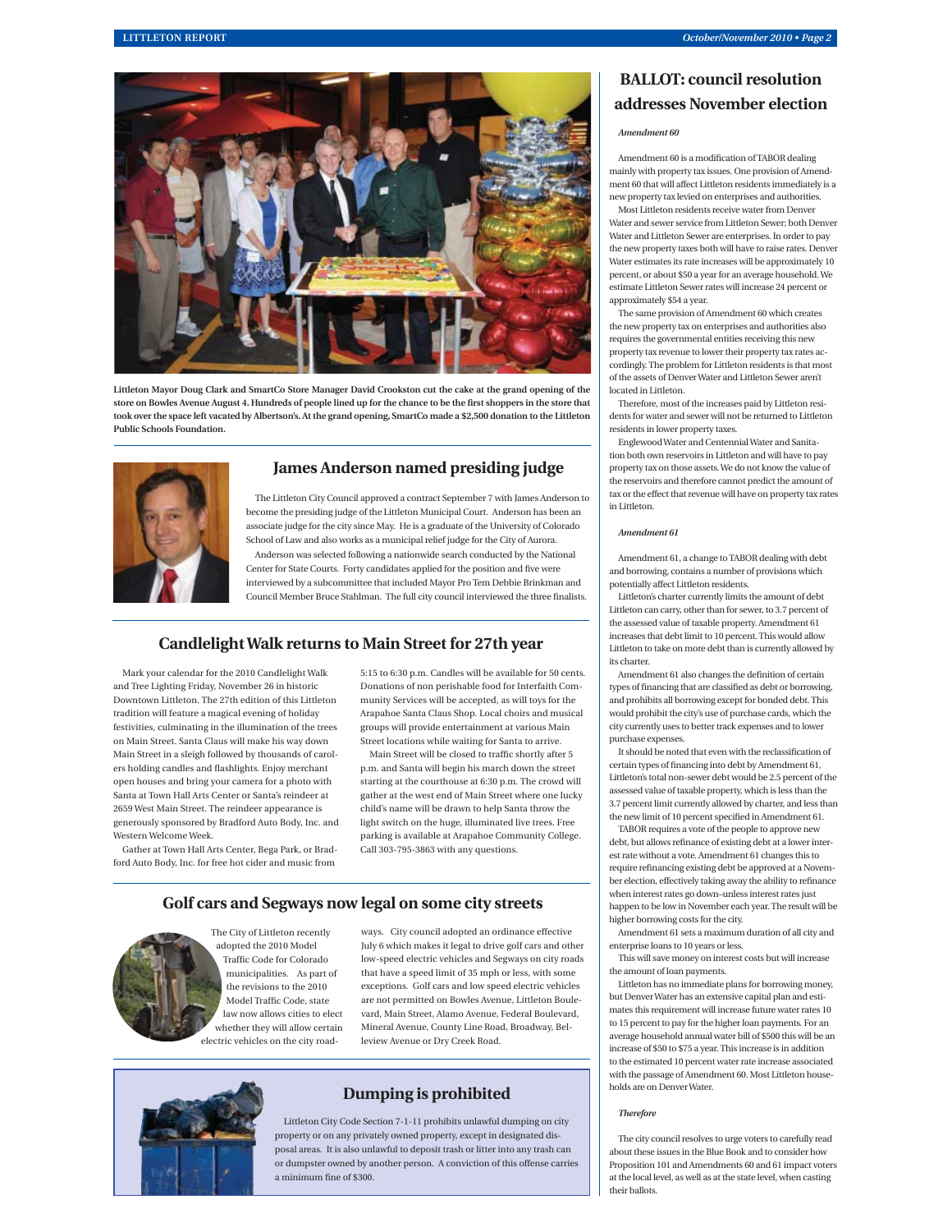

**Littleton Mayor Doug Clark and SmartCo Store Manager David Crookston cut the cake at the grand opening of the**  store on Bowles Avenue August 4. Hundreds of people lined up for the chance to be the first shoppers in the store that **took over the space left vacated by Albertson's. At the grand opening, SmartCo made a \$2,500 donation to the Littleton Public Schools Foundation.**



### **James Anderson named presiding judge**

The Littleton City Council approved a contract September 7 with James Anderson to become the presiding judge of the Littleton Municipal Court. Anderson has been an associate judge for the city since May. He is a graduate of the University of Colorado School of Law and also works as a municipal relief judge for the City of Aurora. Anderson was selected following a nationwide search conducted by the National Center for State Courts. Forty candidates applied for the position and five were interviewed by a subcommittee that included Mayor Pro Tem Debbie Brinkman and Council Member Bruce Stahlman. The full city council interviewed the three finalists.

### **Candlelight Walk returns to Main Street for 27th year**

Mark your calendar for the 2010 Candlelight Walk and Tree Lighting Friday, November 26 in historic Downtown Littleton. The 27th edition of this Littleton tradition will feature a magical evening of holiday festivities, culminating in the illumination of the trees on Main Street. Santa Claus will make his way down Main Street in a sleigh followed by thousands of carolers holding candles and flashlights. Enjoy merchant open houses and bring your camera for a photo with Santa at Town Hall Arts Center or Santa's reindeer at 2659 West Main Street. The reindeer appearance is generously sponsored by Bradford Auto Body, Inc. and Western Welcome Week.

Gather at Town Hall Arts Center, Bega Park, or Bradford Auto Body, Inc. for free hot cider and music from

5:15 to 6:30 p.m. Candles will be available for 50 cents. Donations of non perishable food for Interfaith Community Services will be accepted, as will toys for the Arapahoe Santa Claus Shop. Local choirs and musical groups will provide entertainment at various Main Street locations while waiting for Santa to arrive.

Main Street will be closed to traffic shortly after 5 p.m. and Santa will begin his march down the street starting at the courthouse at 6:30 p.m. The crowd will gather at the west end of Main Street where one lucky child's name will be drawn to help Santa throw the light switch on the huge, illuminated live trees. Free parking is available at Arapahoe Community College. Call 303-795-3863 with any questions.

# **Golf cars and Segways now legal on some city streets**



The City of Littleton recently adopted the 2010 Model Traffic Code for Colorado municipalities. As part of the revisions to the 2010 Model Traffic Code, state law now allows cities to elect whether they will allow certain electric vehicles on the city road-

ways. City council adopted an ordinance effective July 6 which makes it legal to drive golf cars and other low-speed electric vehicles and Segways on city roads that have a speed limit of 35 mph or less, with some exceptions. Golf cars and low speed electric vehicles are not permitted on Bowles Avenue, Littleton Boulevard, Main Street, Alamo Avenue, Federal Boulevard, Mineral Avenue, County Line Road, Broadway, Belleview Avenue or Dry Creek Road.



# **Dumping is prohibited**

Littleton City Code Section 7-1-11 prohibits unlawful dumping on city property or on any privately owned property, except in designated disposal areas. It is also unlawful to deposit trash or litter into any trash can or dumpster owned by another person. A conviction of this offense carries a minimum fine of  $$300$ 

# **BALLOT: council resolution addresses November election**

#### *Amendment 60*

Amendment 60 is a modification of TABOR dealing mainly with property tax issues. One provision of Amendment 60 that will affect Littleton residents immediately is a new property tax levied on enterprises and authorities.

Most Littleton residents receive water from Denver Water and sewer service from Littleton Sewer; both Denver Water and Littleton Sewer are enterprises. In order to pay the new property taxes both will have to raise rates. Denver Water estimates its rate increases will be approximately 10 percent, or about \$50 a year for an average household. We estimate Littleton Sewer rates will increase 24 percent or approximately \$54 a year.

The same provision of Amendment 60 which creates the new property tax on enterprises and authorities also requires the governmental entities receiving this new property tax revenue to lower their property tax rates accordingly. The problem for Littleton residents is that most of the assets of Denver Water and Littleton Sewer aren't located in Littleton.

Therefore, most of the increases paid by Littleton residents for water and sewer will not be returned to Littleton residents in lower property taxes.

Englewood Water and Centennial Water and Sanitation both own reservoirs in Littleton and will have to pay property tax on those assets. We do not know the value of the reservoirs and therefore cannot predict the amount of tax or the effect that revenue will have on property tax rates in Littleton.

#### *Amendment 61*

Amendment 61, a change to TABOR dealing with debt and borrowing, contains a number of provisions which potentially affect Littleton residents.

Littleton's charter currently limits the amount of debt Littleton can carry, other than for sewer, to 3.7 percent of the assessed value of taxable property. Amendment 61 increases that debt limit to 10 percent. This would allow Littleton to take on more debt than is currently allowed by its charter.

Amendment 61 also changes the definition of certain types of financing that are classified as debt or borrowing, and prohibits all borrowing except for bonded debt. This would prohibit the city's use of purchase cards, which the city currently uses to better track expenses and to lower purchase expenses.

It should be noted that even with the reclassification of certain types of financing into debt by Amendment 61, Littleton's total non-sewer debt would be 2.5 percent of the assessed value of taxable property, which is less than the 3.7 percent limit currently allowed by charter, and less than the new limit of 10 percent specified in Amendment 61.

TABOR requires a vote of the people to approve new debt, but allows refinance of existing debt at a lower interest rate without a vote. Amendment 61 changes this to require refinancing existing debt be approved at a November election, effectively taking away the ability to refinance when interest rates go down–unless interest rates just happen to be low in November each year. The result will be higher borrowing costs for the city.

Amendment 61 sets a maximum duration of all city and enterprise loans to 10 years or less.

This will save money on interest costs but will increase the amount of loan payments.

Littleton has no immediate plans for borrowing money, but Denver Water has an extensive capital plan and estimates this requirement will increase future water rates 10 to 15 percent to pay for the higher loan payments. For an average household annual water bill of \$500 this will be an increase of \$50 to \$75 a year. This increase is in addition to the estimated 10 percent water rate increase associated with the passage of Amendment 60. Most Littleton households are on Denver Water.

#### *Therefore*

The city council resolves to urge voters to carefully read about these issues in the Blue Book and to consider how Proposition 101 and Amendments 60 and 61 impact voters at the local level, as well as at the state level, when casting their ballots.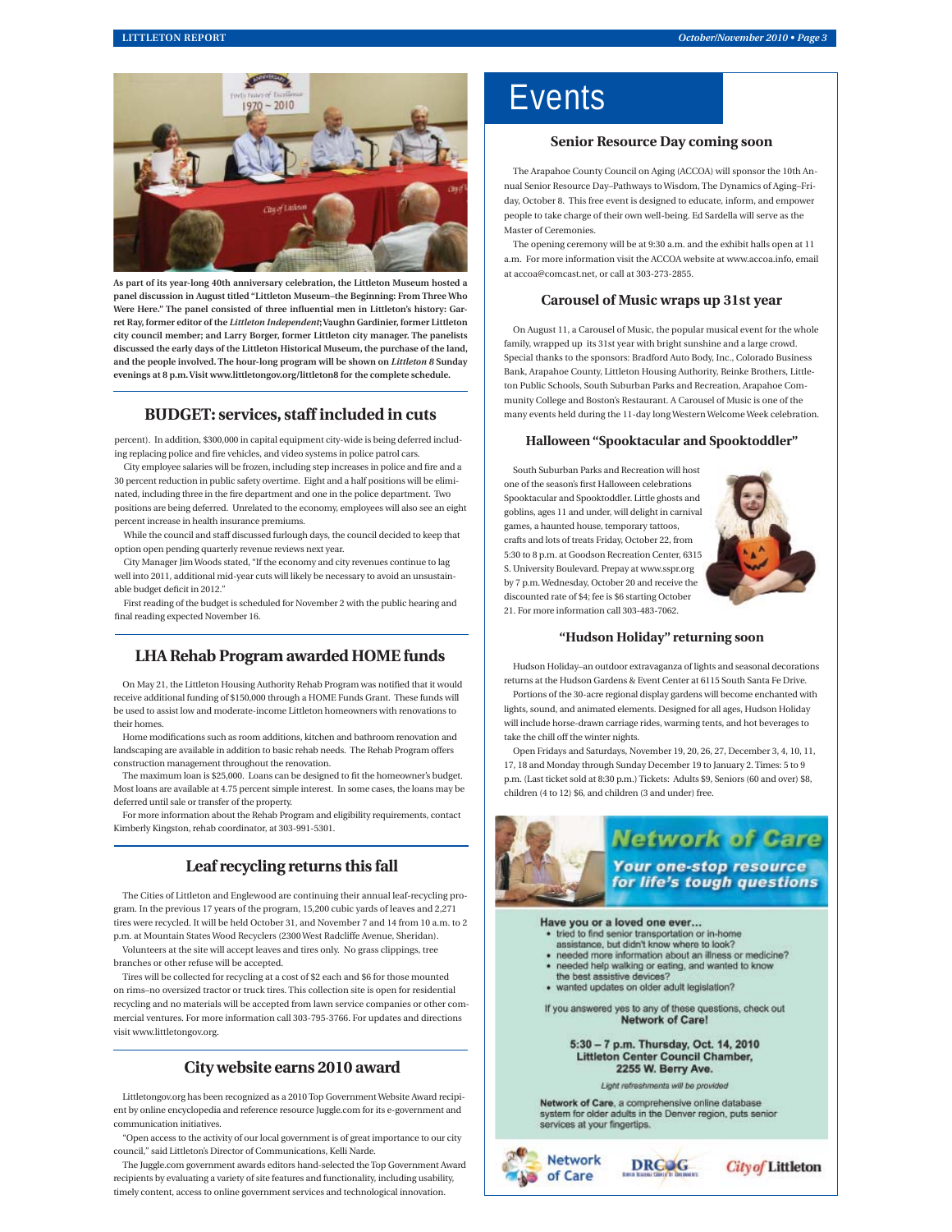

**As part of its year-long 40th anniversary celebration, the Littleton Museum hosted a panel discussion in August titled "Littleton Museum–the Beginning: From Three Who**  Were Here." The panel consisted of three influential men in Littleton's history: Gar**ret Ray, former editor of the** *Littleton Independent***; Vaughn Gardinier, former Littleton city council member; and Larry Borger, former Littleton city manager. The panelists discussed the early days of the Littleton Historical Museum, the purchase of the land, and the people involved. The hour-long program will be shown on** *Littleton 8* **Sunday evenings at 8 p.m. Visit www.littletongov.org/littleton8 for the complete schedule.** 

### **BUDGET: services, staff included in cuts**

percent). In addition, \$300,000 in capital equipment city-wide is being deferred including replacing police and fire vehicles, and video systems in police patrol cars.

City employee salaries will be frozen, including step increases in police and fire and a 30 percent reduction in public safety overtime. Eight and a half positions will be eliminated, including three in the fire department and one in the police department. Two positions are being deferred. Unrelated to the economy, employees will also see an eight percent increase in health insurance premiums.

While the council and staff discussed furlough days, the council decided to keep that option open pending quarterly revenue reviews next year.

City Manager Jim Woods stated, "If the economy and city revenues continue to lag well into 2011, additional mid-year cuts will likely be necessary to avoid an unsustainable budget deficit in 2012."

First reading of the budget is scheduled for November 2 with the public hearing and final reading expected November 16.

# **LHA Rehab Program awarded HOME funds**

On May 21, the Littleton Housing Authority Rehab Program was notified that it would receive additional funding of \$150,000 through a HOME Funds Grant. These funds will be used to assist low and moderate-income Littleton homeowners with renovations to their homes.

Home modifi cations such as room additions, kitchen and bathroom renovation and landscaping are available in addition to basic rehab needs. The Rehab Program offers construction management throughout the renovation.

The maximum loan is \$25,000. Loans can be designed to fit the homeowner's budget. Most loans are available at 4.75 percent simple interest. In some cases, the loans may be deferred until sale or transfer of the property.

For more information about the Rehab Program and eligibility requirements, contact Kimberly Kingston, rehab coordinator, at 303-991-5301.

# **Leaf recycling returns this fall**

The Cities of Littleton and Englewood are continuing their annual leaf-recycling program. In the previous 17 years of the program, 15,200 cubic yards of leaves and 2,271 tires were recycled. It will be held October 31, and November 7 and 14 from 10 a.m. to 2 p.m. at Mountain States Wood Recyclers (2300 West Radcliffe Avenue, Sheridan). Volunteers at the site will accept leaves and tires only. No grass clippings, tree

branches or other refuse will be accepted.

Tires will be collected for recycling at a cost of \$2 each and \$6 for those mounted on rims–no oversized tractor or truck tires. This collection site is open for residential recycling and no materials will be accepted from lawn service companies or other commercial ventures. For more information call 303-795-3766. For updates and directions visit www.littletongov.org.

# **City website earns 2010 award**

Littletongov.org has been recognized as a 2010 Top Government Website Award recipient by online encyclopedia and reference resource Juggle.com for its e-government and communication initiatives.

"Open access to the activity of our local government is of great importance to our city council," said Littleton's Director of Communications, Kelli Narde.

The Juggle.com government awards editors hand-selected the Top Government Award recipients by evaluating a variety of site features and functionality, including usability, timely content, access to online government services and technological innovation.

# **Events**

## **Senior Resource Day coming soon**

The Arapahoe County Council on Aging (ACCOA) will sponsor the 10th Annual Senior Resource Day–Pathways to Wisdom, The Dynamics of Aging–Friday, October 8. This free event is designed to educate, inform, and empower people to take charge of their own well-being. Ed Sardella will serve as the Master of Ceremonies.

The opening ceremony will be at 9:30 a.m. and the exhibit halls open at 11 a.m. For more information visit the ACCOA website at www.accoa.info, email at accoa@comcast.net, or call at 303-273-2855.

#### **Carousel of Music wraps up 31st year**

On August 11, a Carousel of Music, the popular musical event for the whole family, wrapped up its 31st year with bright sunshine and a large crowd. Special thanks to the sponsors: Bradford Auto Body, Inc., Colorado Business Bank, Arapahoe County, Littleton Housing Authority, Reinke Brothers, Littleton Public Schools, South Suburban Parks and Recreation, Arapahoe Community College and Boston's Restaurant. A Carousel of Music is one of the many events held during the 11-day long Western Welcome Week celebration.

#### **Halloween "Spooktacular and Spooktoddler"**

South Suburban Parks and Recreation will host one of the season's first Halloween celebration Spooktacular and Spooktoddler. Little ghosts and goblins, ages 11 and under, will delight in carnival games, a haunted house, temporary tattoos, crafts and lots of treats Friday, October 22, from 5:30 to 8 p.m. at Goodson Recreation Center, 6315 S. University Boulevard. Prepay at www.sspr.org by 7 p.m. Wednesday, October 20 and receive the discounted rate of \$4; fee is \$6 starting October 21. For more information call 303-483-7062.



#### **"Hudson Holiday" returning soon**

Hudson Holiday–an outdoor extravaganza of lights and seasonal decorations returns at the Hudson Gardens & Event Center at 6115 South Santa Fe Drive.

Portions of the 30-acre regional display gardens will become enchanted with lights, sound, and animated elements. Designed for all ages, Hudson Holiday will include horse-drawn carriage rides, warming tents, and hot beverages to take the chill off the winter nights.

Open Fridays and Saturdays, November 19, 20, 26, 27, December 3, 4, 10, 11, 17, 18 and Monday through Sunday December 19 to January 2. Times: 5 to 9 p.m. (Last ticket sold at 8:30 p.m.) Tickets: Adults \$9, Seniors (60 and over) \$8, children (4 to 12) \$6, and children (3 and under) free.



**Network of Care Your one-stop resource** for life's tough questions

Have you or a loved one ever... tried to find senior transportation or in-home

- assistance, but didn't know where to look?
- · needed more information about an illness or medicine?
- · needed help walking or eating, and wanted to know the best assistive devices?
- · wanted updates on older adult legislation?

If you answered yes to any of these questions, check out **Network of Carel** 

> 5:30 - 7 p.m. Thursday, Oct. 14, 2010 **Littleton Center Council Chamber,** 2255 W. Berry Ave.

> > Light refreshments will be provided

Network of Care, a comprehensive online database system for older adults in the Denver region, puts senior services at your fingertips.



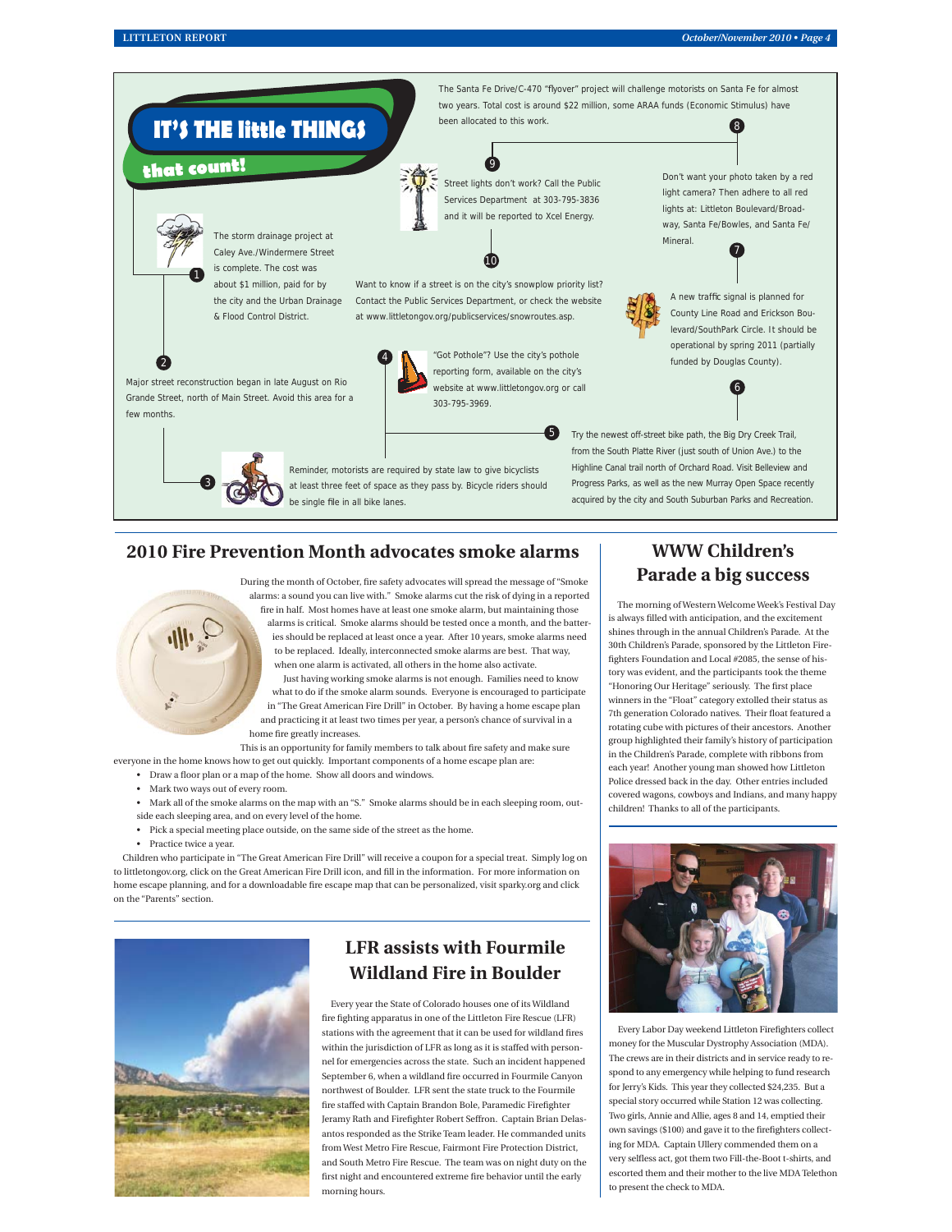

# **2010 Fire Prevention Month advocates smoke alarms**



During the month of October, fire safety advocates will spread the message of "Smoke alarms: a sound you can live with." Smoke alarms cut the risk of dying in a reported fire in half. Most homes have at least one smoke alarm, but maintaining those alarms is critical. Smoke alarms should be tested once a month, and the batteries should be replaced at least once a year. After 10 years, smoke alarms need to be replaced. Ideally, interconnected smoke alarms are best. That way, when one alarm is activated, all others in the home also activate.

Just having working smoke alarms is not enough. Families need to know what to do if the smoke alarm sounds. Everyone is encouraged to participate in "The Great American Fire Drill" in October. By having a home escape plan and practicing it at least two times per year, a person's chance of survival in a home fire greatly increases.

This is an opportunity for family members to talk about fire safety and make sure everyone in the home knows how to get out quickly. Important components of a home escape plan are:

- Draw a floor plan or a map of the home. Show all doors and windows.
- Mark two ways out of every room.
- Mark all of the smoke alarms on the map with an "S." Smoke alarms should be in each sleeping room, out-
- side each sleeping area, and on every level of the home.
- Pick a special meeting place outside, on the same side of the street as the home.
- Practice twice a year.

Children who participate in "The Great American Fire Drill" will receive a coupon for a special treat. Simply log on to littletongov.org, click on the Great American Fire Drill icon, and fill in the information. For more information on home escape planning, and for a downloadable fire escape map that can be personalized, visit sparky.org and click on the "Parents" section.



# **LFR assists with Fourmile Wildland Fire in Boulder**

Every year the State of Colorado houses one of its Wildland fire fighting apparatus in one of the Littleton Fire Rescue (LFR) stations with the agreement that it can be used for wildland fires within the jurisdiction of LFR as long as it is staffed with personnel for emergencies across the state. Such an incident happened September 6, when a wildland fire occurred in Fourmile Canyon northwest of Boulder. LFR sent the state truck to the Fourmile fire staffed with Captain Brandon Bole, Paramedic Firefighter Jeramy Rath and Firefighter Robert Seffron. Captain Brian Delasantos responded as the Strike Team leader. He commanded units from West Metro Fire Rescue, Fairmont Fire Protection District, and South Metro Fire Rescue. The team was on night duty on the first night and encountered extreme fire behavior until the early morning hours.

# **WWW Children's Parade a big success**

The morning of Western Welcome Week's Festival Day is always filled with anticipation, and the excitement shines through in the annual Children's Parade. At the 30th Children's Parade, sponsored by the Littleton Firefighters Foundation and Local #2085, the sense of history was evident, and the participants took the theme "Honoring Our Heritage" seriously. The first place winners in the "Float" category extolled their status as 7th generation Colorado natives. Their float featured a rotating cube with pictures of their ancestors. Another group highlighted their family's history of participation in the Children's Parade, complete with ribbons from each year! Another young man showed how Littleton Police dressed back in the day. Other entries included covered wagons, cowboys and Indians, and many happy children! Thanks to all of the participants.



Every Labor Day weekend Littleton Firefighters collect money for the Muscular Dystrophy Association (MDA). The crews are in their districts and in service ready to respond to any emergency while helping to fund research for Jerry's Kids. This year they collected \$24,235. But a special story occurred while Station 12 was collecting. Two girls, Annie and Allie, ages 8 and 14, emptied their own savings (\$100) and gave it to the firefighters collecting for MDA. Captain Ullery commended them on a very selfless act, got them two Fill-the-Boot t-shirts, and escorted them and their mother to the live MDA Telethon to present the check to MDA.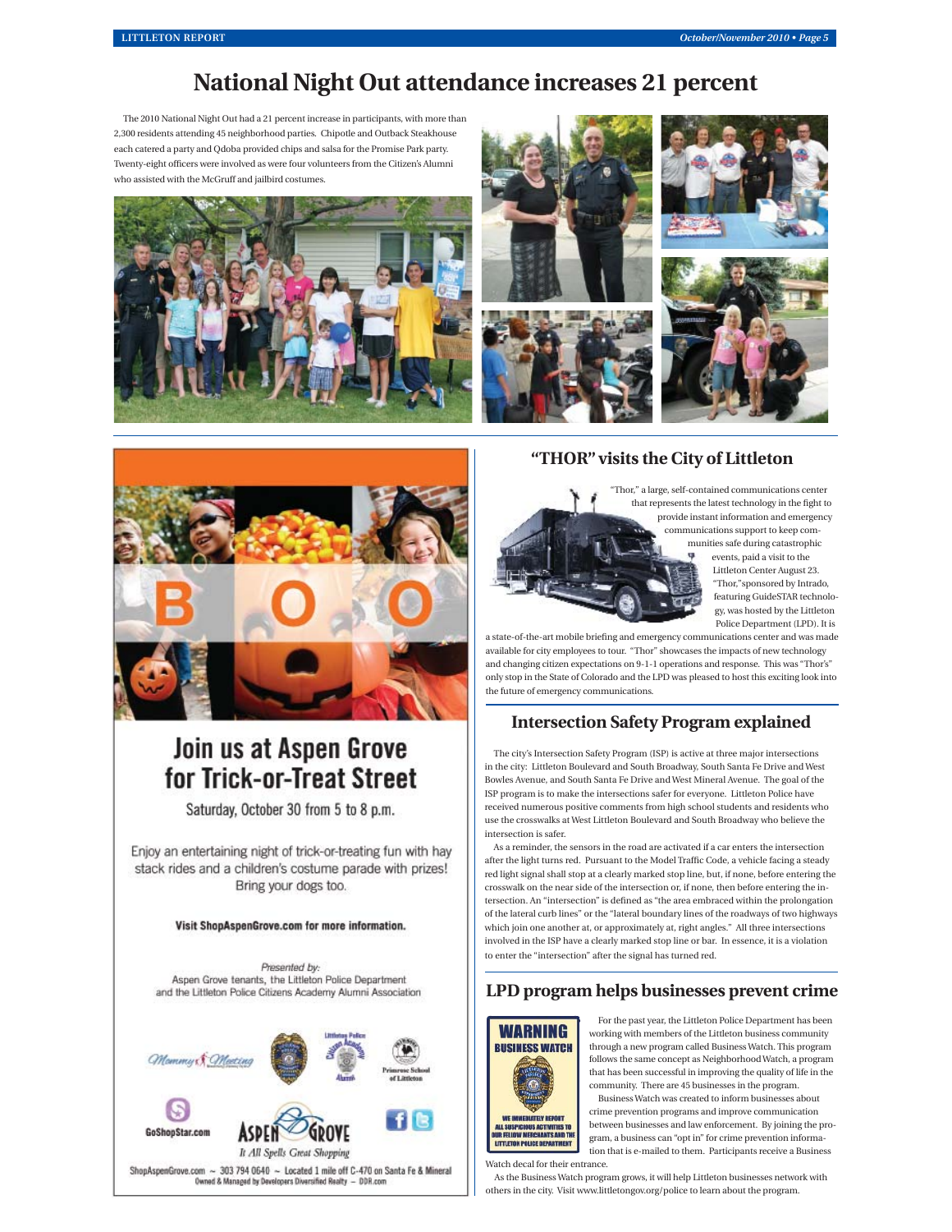# **National Night Out attendance increases 21 percent**

The 2010 National Night Out had a 21 percent increase in participants, with more than 2,300 residents attending 45 neighborhood parties. Chipotle and Outback Steakhouse each catered a party and Qdoba provided chips and salsa for the Promise Park party. Twenty-eight officers were involved as were four volunteers from the Citizen's Alumni who assisted with the McGruff and jailbird costumes.







# Join us at Aspen Grove for Trick-or-Treat Street

Saturday, October 30 from 5 to 8 p.m.

Enjoy an entertaining night of trick-or-treating fun with hay stack rides and a children's costume parade with prizes! Bring your dogs too.

#### Visit ShopAspenGrove.com for more information.

Presented by: Aspen Grove tenants, the Littleton Police Department and the Littleton Police Citizens Academy Alumni Association



# **"THOR" visits the City of Littleton**



Thor," a large, self-contained communications center that represents the latest technology in the fight to provide instant information and emergency communications support to keep communities safe during catastrophic events, paid a visit to the Littleton Center August 23. Thor," sponsored by Intrado, featuring GuideSTAR technolo-

gy, was hosted by the Littleton Police Department (LPD). It is

a state-of-the-art mobile briefing and emergency communications center and was made available for city employees to tour. "Thor" showcases the impacts of new technology and changing citizen expectations on 9-1-1 operations and response. This was "Thor's" only stop in the State of Colorado and the LPD was pleased to host this exciting look into the future of emergency communications.

# **Intersection Safety Program explained**

The city's Intersection Safety Program (ISP) is active at three major intersections in the city: Littleton Boulevard and South Broadway, South Santa Fe Drive and West Bowles Avenue, and South Santa Fe Drive and West Mineral Avenue. The goal of the ISP program is to make the intersections safer for everyone. Littleton Police have received numerous positive comments from high school students and residents who use the crosswalks at West Littleton Boulevard and South Broadway who believe the intersection is safer.

As a reminder, the sensors in the road are activated if a car enters the intersection after the light turns red. Pursuant to the Model Traffic Code, a vehicle facing a steady red light signal shall stop at a clearly marked stop line, but, if none, before entering the crosswalk on the near side of the intersection or, if none, then before entering the intersection. An "intersection" is defined as "the area embraced within the prolongation of the lateral curb lines" or the "lateral boundary lines of the roadways of two highways which join one another at, or approximately at, right angles." All three intersections involved in the ISP have a clearly marked stop line or bar. In essence, it is a violation to enter the "intersection" after the signal has turned red.

# **LPD program helps businesses prevent crime**



For the past year, the Littleton Police Department has been working with members of the Littleton business community through a new program called Business Watch. This program follows the same concept as Neighborhood Watch, a program that has been successful in improving the quality of life in the community. There are 45 businesses in the program. Business Watch was created to inform businesses about crime prevention programs and improve communication between businesses and law enforcement. By joining the program, a business can "opt in" for crime prevention informa-

LITTLETON POLICE DEPARTMENT tion that is e-mailed to them. Participants receive a Business

Watch decal for their entrance.

As the Business Watch program grows, it will help Littleton businesses network with others in the city. Visit www.littletongov.org/police to learn about the program.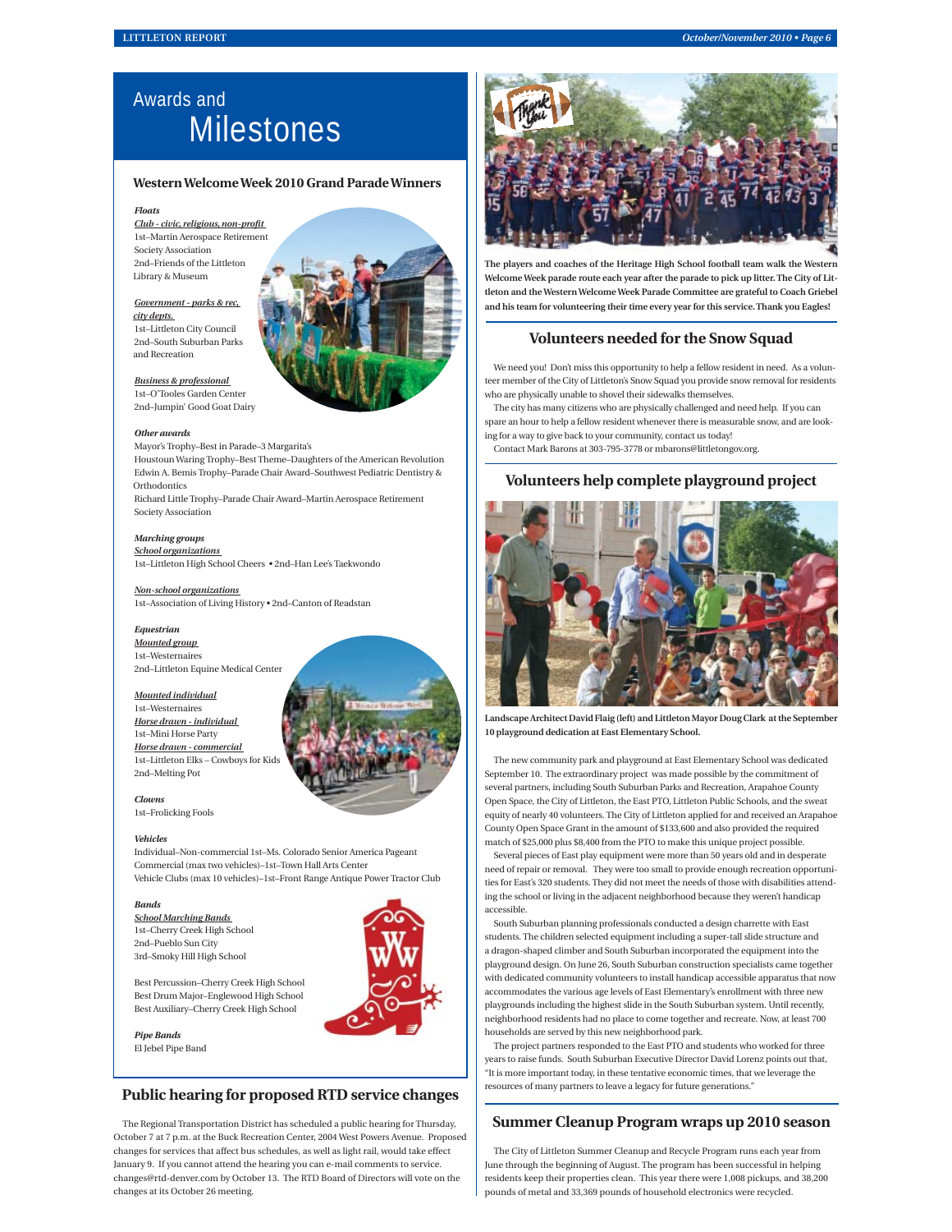# Awards and **Milestones**

#### **Western Welcome Week 2010 Grand Parade Winners**

#### *Floats*

*Club - civic, religious, non-profi t*  1st–Martin Aerospace Retirement Society Association 2nd–Friends of the Littleton Library & Museum

#### *Government - parks & rec, city depts.*

1st–Littleton City Council 2nd–South Suburban Parks and Recreation

*Business & professional* 

1st–O'Tooles Garden Center 2nd–Jumpin' Good Goat Dairy

#### *Other awards*

Mayor's Trophy–Best in Parade–3 Margarita's Houstoun Waring Trophy–Best Theme–Daughters of the American Revolution Edwin A. Bemis Trophy–Parade Chair Award–Southwest Pediatric Dentistry & **Orthodontics** 

Richard Little Trophy–Parade Chair Award–Martin Aerospace Retirement Society Association

### *Marching groups*

*School organizations*  1st–Littleton High School Cheers • 2nd–Han Lee's Taekwondo

#### *Non-school organizations*

1st–Association of Living History • 2nd–Canton of Readstan

#### *Equestrian*

*Mounted group*  1st–Westernaires 2nd–Littleton Equine Medical Center

#### *Mounted individual*

1st–Westernaires *Horse drawn - individual*  1st–Mini Horse Party *Horse drawn - commercial*  1st–Littleton Elks – Cowboys for Kids 2nd–Melting Pot

#### *Clowns*

1st–Frolicking Fools

#### *Vehicles*

Individual–Non-commercial 1st–Ms. Colorado Senior America Pageant Commercial (max two vehicles)–1st–Town Hall Arts Center Vehicle Clubs (max 10 vehicles)–1st–Front Range Antique Power Tractor Club

#### *Bands*

*School Marching Bands*  1st–Cherry Creek High School 2nd–Pueblo Sun City 3rd–Smoky Hill High School



Best Percussion–Cherry Creek High School Best Drum Major–Englewood High School Best Auxiliary–Cherry Creek High School

*Pipe Bands*  El Jebel Pipe Band

## **Public hearing for proposed RTD service changes**

The Regional Transportation District has scheduled a public hearing for Thursday, October 7 at 7 p.m. at the Buck Recreation Center, 2004 West Powers Avenue. Proposed changes for services that affect bus schedules, as well as light rail, would take effect January 9. If you cannot attend the hearing you can e-mail comments to service. changes@rtd-denver.com by October 13. The RTD Board of Directors will vote on the changes at its October 26 meeting.



**The players and coaches of the Heritage High School football team walk the Western Welcome Week parade route each year after the parade to pick up litter. The City of Littleton and the Western Welcome Week Parade Committee are grateful to Coach Griebel and his team for volunteering their time every year for this service. Thank you Eagles!**

### **Volunteers needed for the Snow Squad**

We need you! Don't miss this opportunity to help a fellow resident in need. As a volunteer member of the City of Littleton's Snow Squad you provide snow removal for residents who are physically unable to shovel their sidewalks themselves.

The city has many citizens who are physically challenged and need help. If you can spare an hour to help a fellow resident whenever there is measurable snow, and are looking for a way to give back to your community, contact us today!

Contact Mark Barons at 303-795-3778 or mbarons@littletongov.org.

### **Volunteers help complete playground project**



**Landscape Architect David Flaig (left) and Littleton Mayor Doug Clark at the September 10 playground dedication at East Elementary School.**

The new community park and playground at East Elementary School was dedicated September 10. The extraordinary project was made possible by the commitment of several partners, including South Suburban Parks and Recreation, Arapahoe County Open Space, the City of Littleton, the East PTO, Littleton Public Schools, and the sweat equity of nearly 40 volunteers. The City of Littleton applied for and received an Arapahoe County Open Space Grant in the amount of \$133,600 and also provided the required match of \$25,000 plus \$8,400 from the PTO to make this unique project possible.

Several pieces of East play equipment were more than 50 years old and in desperate need of repair or removal. They were too small to provide enough recreation opportunities for East's 320 students. They did not meet the needs of those with disabilities attending the school or living in the adjacent neighborhood because they weren't handicap accessible.

South Suburban planning professionals conducted a design charrette with East students. The children selected equipment including a super-tall slide structure and a dragon-shaped climber and South Suburban incorporated the equipment into the playground design. On June 26, South Suburban construction specialists came together with dedicated community volunteers to install handicap accessible apparatus that now accommodates the various age levels of East Elementary's enrollment with three new playgrounds including the highest slide in the South Suburban system. Until recently, neighborhood residents had no place to come together and recreate. Now, at least 700 households are served by this new neighborhood park.

The project partners responded to the East PTO and students who worked for three years to raise funds. South Suburban Executive Director David Lorenz points out that, "It is more important today, in these tentative economic times, that we leverage the resources of many partners to leave a legacy for future generations."

### **Summer Cleanup Program wraps up 2010 season**

The City of Littleton Summer Cleanup and Recycle Program runs each year from June through the beginning of August. The program has been successful in helping residents keep their properties clean. This year there were 1,008 pickups, and 38,200 pounds of metal and 33,369 pounds of household electronics were recycled.



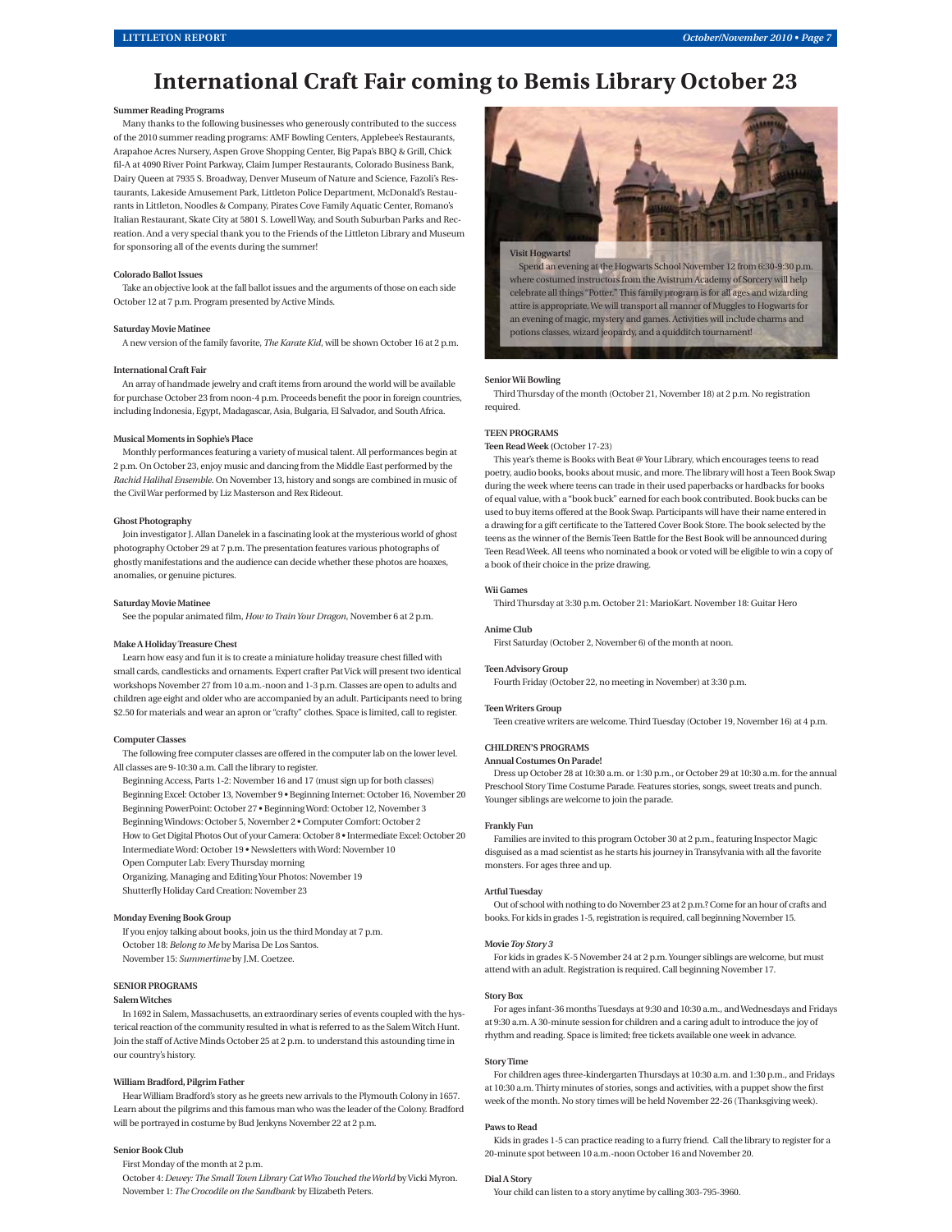# **International Craft Fair coming to Bemis Library October 23**

#### **Summer Reading Programs**

Many thanks to the following businesses who generously contributed to the success of the 2010 summer reading programs: AMF Bowling Centers, Applebee's Restaurants, Arapahoe Acres Nursery, Aspen Grove Shopping Center, Big Papa's BBQ & Grill, Chick fil-A at 4090 River Point Parkway, Claim Jumper Restaurants, Colorado Business Bank, Dairy Queen at 7935 S. Broadway, Denver Museum of Nature and Science, Fazoli's Restaurants, Lakeside Amusement Park, Littleton Police Department, McDonald's Restaurants in Littleton, Noodles & Company, Pirates Cove Family Aquatic Center, Romano's Italian Restaurant, Skate City at 5801 S. Lowell Way, and South Suburban Parks and Recreation. And a very special thank you to the Friends of the Littleton Library and Museum for sponsoring all of the events during the summer!

#### **Colorado Ballot Issues**

Take an objective look at the fall ballot issues and the arguments of those on each side October 12 at 7 p.m. Program presented by Active Minds.

#### **Saturday Movie Matinee**

A new version of the family favorite, *The Karate Kid*, will be shown October 16 at 2 p.m.

#### **International Craft Fair**

An array of handmade jewelry and craft items from around the world will be available for purchase October 23 from noon-4 p.m. Proceeds benefit the poor in foreign countries, including Indonesia, Egypt, Madagascar, Asia, Bulgaria, El Salvador, and South Africa.

#### **Musical Moments in Sophie's Place**

Monthly performances featuring a variety of musical talent. All performances begin at 2 p.m. On October 23, enjoy music and dancing from the Middle East performed by the *Rachid Halihal Ensemble*. On November 13, history and songs are combined in music of the Civil War performed by Liz Masterson and Rex Rideout.

#### **Ghost Photography**

Join investigator J. Allan Danelek in a fascinating look at the mysterious world of ghost photography October 29 at 7 p.m. The presentation features various photographs of ghostly manifestations and the audience can decide whether these photos are hoaxes, anomalies, or genuine pictures.

#### **Saturday Movie Matinee**

See the popular animated film, *How to Train Your Dragon*, November 6 at 2 p.m.

#### **Make A Holiday Treasure Chest**

Learn how easy and fun it is to create a miniature holiday treasure chest filled with small cards, candlesticks and ornaments. Expert crafter Pat Vick will present two identical workshops November 27 from 10 a.m.-noon and 1-3 p.m. Classes are open to adults and children age eight and older who are accompanied by an adult. Participants need to bring \$2.50 for materials and wear an apron or "crafty" clothes. Space is limited, call to register.

#### **Computer Classes**

The following free computer classes are offered in the computer lab on the lower level. All classes are 9-10:30 a.m. Call the library to register.

- Beginning Access, Parts 1-2: November 16 and 17 (must sign up for both classes) Beginning Excel: October 13, November 9 • Beginning Internet: October 16, November 20 Beginning PowerPoint: October 27 • Beginning Word: October 12, November 3
- Beginning Windows: October 5, November 2 Computer Comfort: October 2
- How to Get Digital Photos Out of your Camera: October 8 Intermediate Excel: October 20 Intermediate Word: October 19 • Newsletters with Word: November 10
- Open Computer Lab: Every Thursday morning
- Organizing, Managing and Editing Your Photos: November 19
- Shutterfly Holiday Card Creation: November 23

#### **Monday Evening Book Group**

If you enjoy talking about books, join us the third Monday at 7 p.m. October 18: *Belong to Me* by Marisa De Los Santos. November 15: *Summertime* by J.M. Coetzee.

#### **SENIOR PROGRAMS**

#### **Salem Witches**

In 1692 in Salem, Massachusetts, an extraordinary series of events coupled with the hysterical reaction of the community resulted in what is referred to as the Salem Witch Hunt. Join the staff of Active Minds October 25 at 2 p.m. to understand this astounding time in our country's history.

#### **William Bradford, Pilgrim Father**

Hear William Bradford's story as he greets new arrivals to the Plymouth Colony in 1657. Learn about the pilgrims and this famous man who was the leader of the Colony. Bradford will be portrayed in costume by Bud Jenkyns November 22 at 2 p.m.

#### **Senior Book Club**

First Monday of the month at 2 p.m.

October 4: *Dewey: The Small Town Library Cat Who Touched the World* by Vicki Myron. November 1: *The Crocodile on the Sandbank* by Elizabeth Peters.



#### **Senior Wii Bowling**

Third Thursday of the month (October 21, November 18) at 2 p.m. No registration required.

#### **TEEN PROGRAMS**

**Teen Read Week (**October 17-23)

This year's theme is Books with Beat @ Your Library, which encourages teens to read poetry, audio books, books about music, and more. The library will host a Teen Book Swap during the week where teens can trade in their used paperbacks or hardbacks for books of equal value, with a "book buck" earned for each book contributed. Book bucks can be used to buy items offered at the Book Swap. Participants will have their name entered in a drawing for a gift certificate to the Tattered Cover Book Store. The book selected by the teens as the winner of the Bemis Teen Battle for the Best Book will be announced during Teen Read Week. All teens who nominated a book or voted will be eligible to win a copy of a book of their choice in the prize drawing.

#### **Wii Games**

Third Thursday at 3:30 p.m. October 21: MarioKart. November 18: Guitar Hero

#### **Anime Club**

First Saturday (October 2, November 6) of the month at noon.

#### **Teen Advisory Group**

Fourth Friday (October 22, no meeting in November) at 3:30 p.m.

#### **Teen Writers Group**

Teen creative writers are welcome. Third Tuesday (October 19, November 16) at 4 p.m.

#### **CHILDREN'S PROGRAMS**

#### **Annual Costumes On Parade!**

Dress up October 28 at 10:30 a.m. or 1:30 p.m., or October 29 at 10:30 a.m. for the annual Preschool Story Time Costume Parade. Features stories, songs, sweet treats and punch. Younger siblings are welcome to join the parade.

#### **Frankly Fun**

Families are invited to this program October 30 at 2 p.m., featuring Inspector Magic disguised as a mad scientist as he starts his journey in Transylvania with all the favorite monsters. For ages three and up.

#### **Artful Tuesday**

Out of school with nothing to do November 23 at 2 p.m.? Come for an hour of crafts and books. For kids in grades 1-5, registration is required, call beginning November 15.

#### **Movie** *Toy Story 3*

For kids in grades K-5 November 24 at 2 p.m. Younger siblings are welcome, but must attend with an adult. Registration is required. Call beginning November 17.

#### **Story Box**

For ages infant-36 months Tuesdays at 9:30 and 10:30 a.m., and Wednesdays and Fridays at 9:30 a.m. A 30-minute session for children and a caring adult to introduce the joy of rhythm and reading. Space is limited; free tickets available one week in advance.

#### **Story Time**

For children ages three-kindergarten Thursdays at 10:30 a.m. and 1:30 p.m., and Fridays at 10:30 a.m. Thirty minutes of stories, songs and activities, with a puppet show the first week of the month. No story times will be held November 22-26 (Thanksgiving week).

#### **Paws to Read**

Kids in grades 1-5 can practice reading to a furry friend. Call the library to register for a 20-minute spot between 10 a.m.-noon October 16 and November 20.

#### **Dial A Story**

Your child can listen to a story anytime by calling 303-795-3960.